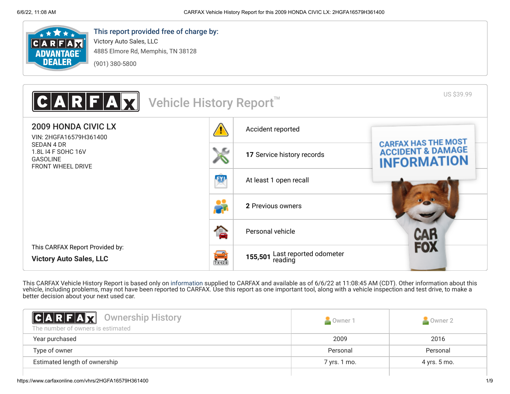

# This report provided free of charge by:

Victory Auto Sales, LLC 4885 Elmore Rd, Memphis, TN 38128 (901) 380-5800



This CARFAX Vehicle History Report is based only on [information](http://www.carfax.com/company/vhr-data-sources) supplied to CARFAX and available as of 6/6/22 at 11:08:45 AM (CDT). Other information about this vehicle, including problems, may not have been reported to CARFAX. Use this report as one important tool, along with a vehicle inspection and test drive, to make a better decision about your next used car.

<span id="page-0-0"></span>

| <b>CARFAX</b> Ownership History<br>The number of owners is estimated | Owner 1      | Owner 2      |
|----------------------------------------------------------------------|--------------|--------------|
| Year purchased                                                       | 2009         | 2016         |
| Type of owner                                                        | Personal     | Personal     |
| Estimated length of ownership                                        | 7 yrs. 1 mo. | 4 yrs. 5 mo. |
|                                                                      |              |              |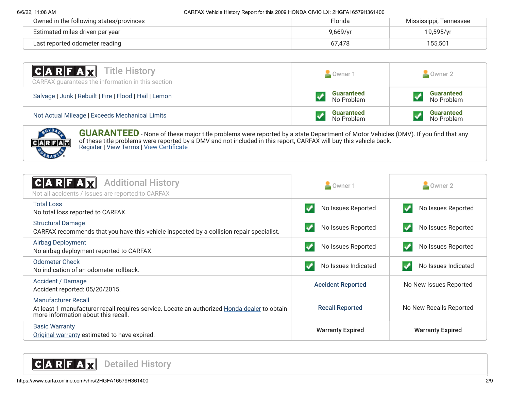6/6/22, 11:08 AM CARFAX Vehicle History Report for this 2009 HONDA CIVIC LX: 2HGFA16579H361400

| Owned in the following states/provinces | Florida  | Mississippi, Tennessee |
|-----------------------------------------|----------|------------------------|
| Estimated miles driven per year         | 9,669/yr | 19,595/yr              |
| Last reported odometer reading          | 67.478   | 155.501                |

| <b>CARFAX</b> Title History<br>CARFAX guarantees the information in this section | Owner 1                         | Owner 2                         |
|----------------------------------------------------------------------------------|---------------------------------|---------------------------------|
| Salvage   Junk   Rebuilt   Fire   Flood   Hail   Lemon                           | <b>Guaranteed</b><br>No Problem | <b>Guaranteed</b><br>No Problem |
| Not Actual Mileage   Exceeds Mechanical Limits                                   | <b>Guaranteed</b><br>No Problem | <b>Guaranteed</b><br>No Problem |



**GUARANTEED** - None of these major title problems were reported by a state Department of Motor Vehicles (DMV). If you find that any of these title problems were reported by a DMV and not included in this report, CARFAX will buy this vehicle back. [Register](https://www.carfax.com/Service/bbg) | [View Terms](http://www.carfaxonline.com/legal/bbgTerms) | [View Certificate](https://www.carfaxonline.com/vhrs/2HGFA16579H361400)

<span id="page-1-1"></span><span id="page-1-0"></span>

| <b>Additional History</b><br>CARFA<br>Not all accidents / issues are reported to CARFAX                                                                           | Owner 1                  | Owner 2                 |
|-------------------------------------------------------------------------------------------------------------------------------------------------------------------|--------------------------|-------------------------|
| <b>Total Loss</b><br>No total loss reported to CARFAX.                                                                                                            | No Issues Reported       | No Issues Reported      |
| <b>Structural Damage</b><br>CARFAX recommends that you have this vehicle inspected by a collision repair specialist.                                              | No Issues Reported       | No Issues Reported      |
| <b>Airbag Deployment</b><br>No airbag deployment reported to CARFAX.                                                                                              | No Issues Reported       | No Issues Reported      |
| <b>Odometer Check</b><br>No indication of an odometer rollback.                                                                                                   | No Issues Indicated      | No Issues Indicated     |
| Accident / Damage<br>Accident reported: 05/20/2015.                                                                                                               | <b>Accident Reported</b> | No New Issues Reported  |
| <b>Manufacturer Recall</b><br>At least 1 manufacturer recall requires service. Locate an authorized Honda dealer to obtain<br>more information about this recall. | <b>Recall Reported</b>   | No New Recalls Reported |
| <b>Basic Warranty</b><br>Original warranty estimated to have expired.                                                                                             | <b>Warranty Expired</b>  | <b>Warranty Expired</b> |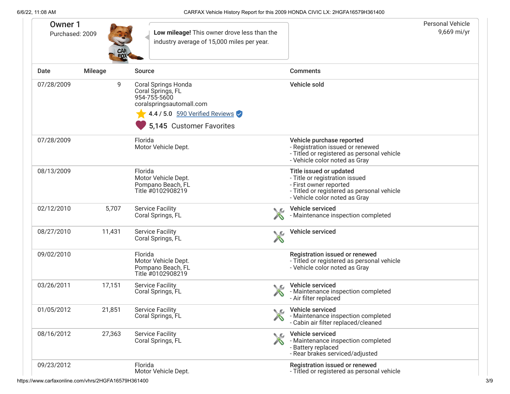<span id="page-2-0"></span>

| <b>Owner 1</b><br>Purchased: 2009 |                | Low mileage! This owner drove less than the<br>industry average of 15,000 miles per year.                                                                 |    | <b>Personal Vehicle</b><br>9,669 mi/yr                                                                                                                             |  |
|-----------------------------------|----------------|-----------------------------------------------------------------------------------------------------------------------------------------------------------|----|--------------------------------------------------------------------------------------------------------------------------------------------------------------------|--|
| Date                              | <b>Mileage</b> | <b>Source</b>                                                                                                                                             |    | <b>Comments</b>                                                                                                                                                    |  |
| 07/28/2009                        | 9              | <b>Coral Springs Honda</b><br>Coral Springs, FL<br>954-755-5600<br>coralspringsautomall.com<br>4.4 / 5.0 590 Verified Reviews<br>5,145 Customer Favorites |    | Vehicle sold                                                                                                                                                       |  |
| 07/28/2009                        |                | Florida<br>Motor Vehicle Dept.                                                                                                                            |    | Vehicle purchase reported<br>- Registration issued or renewed<br>- Titled or registered as personal vehicle<br>- Vehicle color noted as Gray                       |  |
| 08/13/2009                        |                | Florida<br>Motor Vehicle Dept.<br>Pompano Beach, FL<br>Title #0102908219                                                                                  |    | Title issued or updated<br>- Title or registration issued<br>- First owner reported<br>- Titled or registered as personal vehicle<br>- Vehicle color noted as Gray |  |
| 02/12/2010                        | 5,707          | <b>Service Facility</b><br>Coral Springs, FL                                                                                                              | ◟உ | Vehicle serviced<br>- Maintenance inspection completed                                                                                                             |  |
| 08/27/2010                        | 11,431         | <b>Service Facility</b><br>Coral Springs, FL                                                                                                              |    | Vehicle serviced                                                                                                                                                   |  |
| 09/02/2010                        |                | Florida<br>Motor Vehicle Dept.<br>Pompano Beach, FL<br>Title #0102908219                                                                                  |    | Registration issued or renewed<br>- Titled or registered as personal vehicle<br>- Vehicle color noted as Gray                                                      |  |
| 03/26/2011                        | 17,151         | <b>Service Facility</b><br>Coral Springs, FL                                                                                                              |    | Vehicle serviced<br>- Maintenance inspection completed<br>- Air filter replaced                                                                                    |  |
| 01/05/2012                        | 21,851         | <b>Service Facility</b><br>Coral Springs, FL                                                                                                              | ◟◚ | Vehicle serviced<br>- Maintenance inspection completed<br>- Cabin air filter replaced/cleaned                                                                      |  |
| 08/16/2012                        | 27,363         | <b>Service Facility</b><br>Coral Springs, FL                                                                                                              | ◟▵ | Vehicle serviced<br>- Maintenance inspection completed<br>- Battery replaced<br>- Rear brakes serviced/adjusted                                                    |  |
| 09/23/2012                        |                | Florida<br>Motor Vehicle Dept.                                                                                                                            |    | <b>Registration issued or renewed</b><br>- Titled or registered as personal vehicle                                                                                |  |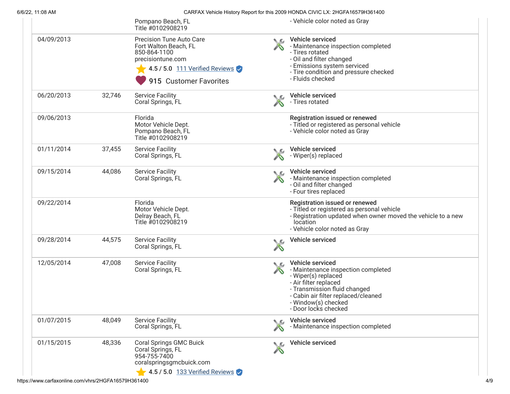6/6/22, 11:08 AM CARFAX Vehicle History Report for this 2009 HONDA CIVIC LX: 2HGFA16579H361400

|            |        | Pompano Beach, FL<br>Title #0102908219                                                                                                                    |           | - Vehicle color noted as Gray                                                                                                                                                                                                |
|------------|--------|-----------------------------------------------------------------------------------------------------------------------------------------------------------|-----------|------------------------------------------------------------------------------------------------------------------------------------------------------------------------------------------------------------------------------|
| 04/09/2013 |        | <b>Precision Tune Auto Care</b><br>Fort Walton Beach, FL<br>850-864-1100<br>precisiontune.com<br>4.5 / 5.0 111 Verified Reviews<br>915 Customer Favorites | ◥◚        | Vehicle serviced<br>- Maintenance inspection completed<br>- Tires rotated<br>- Oil and filter changed<br>- Emissions system serviced<br>- Tire condition and pressure checked<br>- Fluids checked                            |
| 06/20/2013 | 32,746 | <b>Service Facility</b><br>Coral Springs, FL                                                                                                              | N. KA     | Vehicle serviced<br>- Tires rotated                                                                                                                                                                                          |
| 09/06/2013 |        | Florida<br>Motor Vehicle Dept.<br>Pompano Beach, FL<br>Title #0102908219                                                                                  |           | Registration issued or renewed<br>- Titled or registered as personal vehicle<br>- Vehicle color noted as Gray                                                                                                                |
| 01/11/2014 | 37,455 | <b>Service Facility</b><br>Coral Springs, FL                                                                                                              | ◟உ        | Vehicle serviced<br>- Wiper(s) replaced                                                                                                                                                                                      |
| 09/15/2014 | 44,086 | <b>Service Facility</b><br>Coral Springs, FL                                                                                                              | ١G        | Vehicle serviced<br>- Maintenance inspection completed<br>- Oil and filter changed<br>- Four tires replaced                                                                                                                  |
| 09/22/2014 |        | Florida<br>Motor Vehicle Dept.<br>Delray Beach, FL<br>Title #0102908219                                                                                   |           | <b>Registration issued or renewed</b><br>- Titled or registered as personal vehicle<br>- Registration updated when owner moved the vehicle to a new<br>location<br>- Vehicle color noted as Gray                             |
| 09/28/2014 | 44,575 | <b>Service Facility</b><br>Coral Springs, FL                                                                                                              | <b>NG</b> | Vehicle serviced                                                                                                                                                                                                             |
| 12/05/2014 | 47,008 | <b>Service Facility</b><br>Coral Springs, FL                                                                                                              | ╲€        | Vehicle serviced<br>- Maintenance inspection completed<br>- Wiper(s) replaced<br>- Air filter replaced<br>- Transmission fluid changed<br>- Cabin air filter replaced/cleaned<br>- Window(s) checked<br>- Door locks checked |
| 01/07/2015 | 48,049 | <b>Service Facility</b><br>Coral Springs, FL                                                                                                              | NΩ        | Vehicle serviced<br>- Maintenance inspection completed                                                                                                                                                                       |
| 01/15/2015 | 48,336 | Coral Springs GMC Buick<br>Coral Springs, FL<br>954-755-7400<br>coralspringsgmcbuick.com<br>$\blacktriangleright$ 4.5 / 5.0 133 Verified Reviews          |           | Vehicle serviced                                                                                                                                                                                                             |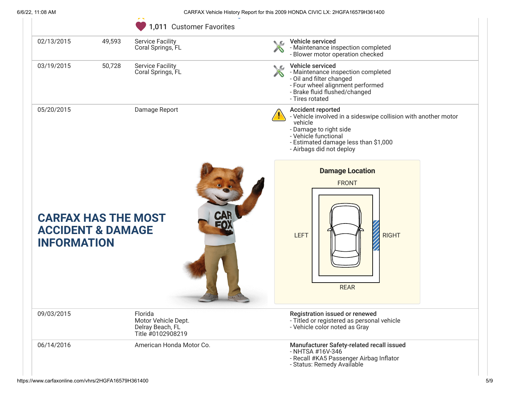| 02/13/2015                                                                       | 49,593 | <b>Service Facility</b><br>Coral Springs, FL                            | Vehicle serviced<br>- Maintenance inspection completed<br>- Blower motor operation checked                                                                                                                                  |
|----------------------------------------------------------------------------------|--------|-------------------------------------------------------------------------|-----------------------------------------------------------------------------------------------------------------------------------------------------------------------------------------------------------------------------|
| 03/19/2015                                                                       | 50,728 | <b>Service Facility</b><br>Coral Springs, FL                            | Vehicle serviced<br>◟உ<br>- Maintenance inspection completed<br>- Oil and filter changed<br>- Four wheel alignment performed<br>- Brake fluid flushed/changed<br>- Tires rotated                                            |
| 05/20/2015                                                                       |        | Damage Report                                                           | <b>Accident reported</b><br>- Vehicle involved in a sideswipe collision with another motor<br>vehicle<br>- Damage to right side<br>- Vehicle functional<br>- Estimated damage less than \$1,000<br>- Airbags did not deploy |
| <b>CARFAX HAS THE MOST</b><br><b>ACCIDENT &amp; DAMAGE</b><br><b>INFORMATION</b> |        | <b>CAR</b><br>ี่ ⊒(•)                                                   | <b>Damage Location</b><br><b>FRONT</b><br><b>RIGHT</b><br><b>LEFT</b><br><b>REAR</b>                                                                                                                                        |
| 09/03/2015                                                                       |        | Florida<br>Motor Vehicle Dept.<br>Delray Beach, FL<br>Title #0102908219 | Registration issued or renewed<br>- Titled or registered as personal vehicle<br>- Vehicle color noted as Gray                                                                                                               |
| 06/14/2016                                                                       |        | American Honda Motor Co.                                                | Manufacturer Safety-related recall issued<br>- NHTSA #16V-346<br>- Recall #KA5 Passenger Airbag Inflator<br>- Status: Remedy Available                                                                                      |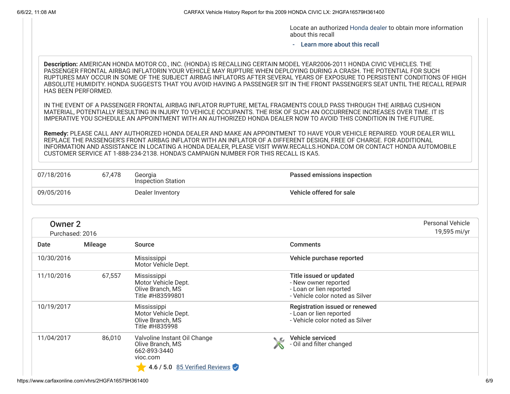Locate an authorized [Honda dealer](http://automobiles.honda.com/tools/dealer-locator/) to obtain more information about this recall

- Learn more about this recall

**Description:** AMERICAN HONDA MOTOR CO., INC. (HONDA) IS RECALLING CERTAIN MODEL YEAR2006-2011 HONDA CIVIC VEHICLES. THE PASSENGER FRONTAL AIRBAG INFLATORIN YOUR VEHICLE MAY RUPTURE WHEN DEPLOYING DURING A CRASH. THE POTENTIAL FOR SUCH RUPTURES MAY OCCUR IN SOME OF THE SUBJECT AIRBAG INFLATORS AFTER SEVERAL YEARS OF EXPOSURE TO PERSISTENT CONDITIONS OF HIGH ABSOLUTE HUMIDITY. HONDA SUGGESTS THAT YOU AVOID HAVING A PASSENGER SIT IN THE FRONT PASSENGER'S SEAT UNTIL THE RECALL REPAIR HAS BEEN PERFORMED.

IN THE EVENT OF A PASSENGER FRONTAL AIRBAG INFLATOR RUPTURE, METAL FRAGMENTS COULD PASS THROUGH THE AIRBAG CUSHION MATERIAL, POTENTIALLY RESULTING IN INJURY TO VEHICLE OCCUPANTS. THE RISK OF SUCH AN OCCURRENCE INCREASES OVER TIME. IT IS IMPERATIVE YOU SCHEDULE AN APPOINTMENT WITH AN AUTHORIZED HONDA DEALER NOW TO AVOID THIS CONDITION IN THE FUTURE.

**Remedy:** PLEASE CALL ANY AUTHORIZED HONDA DEALER AND MAKE AN APPOINTMENT TO HAVE YOUR VEHICLE REPAIRED. YOUR DEALER WILL REPLACE THE PASSENGER'S FRONT AIRBAG INFLATOR WITH AN INFLATOR OF A DIFFERENT DESIGN, FREE OF CHARGE. FOR ADDITIONAL INFORMATION AND ASSISTANCE IN LOCATING A HONDA DEALER, PLEASE VISIT WWW.RECALLS.HONDA.COM OR CONTACT HONDA AUTOMOBILE CUSTOMER SERVICE AT 1-888-234-2138. HONDA'S CAMPAIGN NUMBER FOR THIS RECALL IS KA5.

| 07/18/2016      | 67,478  | Georgia<br><b>Inspection Station</b>                                                                          | Passed emissions inspection                                                                                   |                  |
|-----------------|---------|---------------------------------------------------------------------------------------------------------------|---------------------------------------------------------------------------------------------------------------|------------------|
| 09/05/2016      |         | Dealer Inventory                                                                                              | Vehicle offered for sale                                                                                      |                  |
| <b>Owner 2</b>  |         |                                                                                                               |                                                                                                               | Personal Vehicle |
| Purchased: 2016 |         |                                                                                                               |                                                                                                               | 19,595 mi/yr     |
| Date            | Mileage | <b>Source</b>                                                                                                 | <b>Comments</b>                                                                                               |                  |
| 10/30/2016      |         | Mississippi<br>Motor Vehicle Dept.                                                                            | Vehicle purchase reported                                                                                     |                  |
| 11/10/2016      | 67,557  | Mississippi<br>Motor Vehicle Dept.<br>Olive Branch, MS<br>Title #H83599801                                    | Title issued or updated<br>- New owner reported<br>- Loan or lien reported<br>- Vehicle color noted as Silver |                  |
| 10/19/2017      |         | Mississippi<br>Motor Vehicle Dept.<br>Olive Branch, MS<br>Title #H835998                                      | Registration issued or renewed<br>- Loan or lien reported<br>- Vehicle color noted as Silver                  |                  |
| 11/04/2017      | 86,010  | Valvoline Instant Oil Change<br>Olive Branch, MS<br>662-893-3440<br>vioc.com<br>4.6 / 5.0 85 Verified Reviews | Vehicle serviced<br>- Oil and filter changed                                                                  |                  |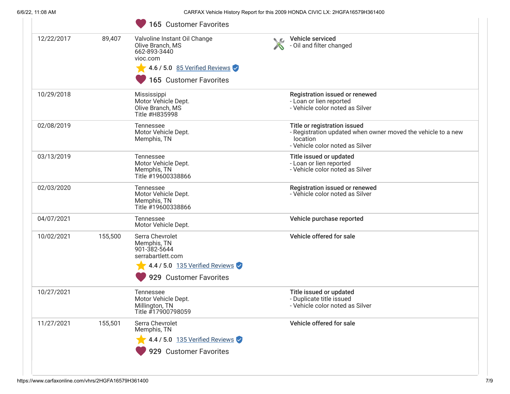| 12/22/2017 | 89,407  | Valvoline Instant Oil Change<br>Olive Branch, MS<br>662-893-3440<br>vioc.com    | Vehicle serviced<br>- Oil and filter changed                                                                                                |
|------------|---------|---------------------------------------------------------------------------------|---------------------------------------------------------------------------------------------------------------------------------------------|
|            |         | $\sqrt{4.6/5.0}$ 85 Verified Reviews<br>165 Customer Favorites                  |                                                                                                                                             |
| 10/29/2018 |         | Mississippi<br>Motor Vehicle Dept.<br>Olive Branch, MS<br>Title #H835998        | Registration issued or renewed<br>- Loan or lien reported<br>- Vehicle color noted as Silver                                                |
| 02/08/2019 |         | Tennessee<br>Motor Vehicle Dept.<br>Memphis, TN                                 | Title or registration issued<br>- Registration updated when owner moved the vehicle to a new<br>location<br>- Vehicle color noted as Silver |
| 03/13/2019 |         | Tennessee<br>Motor Vehicle Dept.<br>Memphis, TN<br>Title #19600338866           | Title issued or updated<br>- Loan or lien reported<br>- Vehicle color noted as Silver                                                       |
| 02/03/2020 |         | Tennessee<br>Motor Vehicle Dept.<br>Memphis, TN<br>Title #19600338866           | Registration issued or renewed<br>- Vehicle color noted as Silver                                                                           |
| 04/07/2021 |         | Tennessee<br>Motor Vehicle Dept.                                                | Vehicle purchase reported                                                                                                                   |
| 10/02/2021 | 155,500 | Serra Chevrolet<br>Memphis, TN<br>901-382-5644<br>serrabartlett.com             | Vehicle offered for sale                                                                                                                    |
|            |         | $\blacktriangleright$ 4.4 / 5.0 135 Verified Reviews<br>929 Customer Favorites  |                                                                                                                                             |
| 10/27/2021 |         | <b>Tennessee</b><br>Motor Vehicle Dept.<br>Millington, TN<br>Title #17900798059 | Title issued or updated<br>- Duplicate title issued<br>- Vehicle color noted as Silver                                                      |
| 11/27/2021 | 155,501 | Serra Chevrolet<br>Memphis, TN<br>4.4 / 5.0 135 Verified Reviews                | Vehicle offered for sale                                                                                                                    |
|            |         | 929 Customer Favorites                                                          |                                                                                                                                             |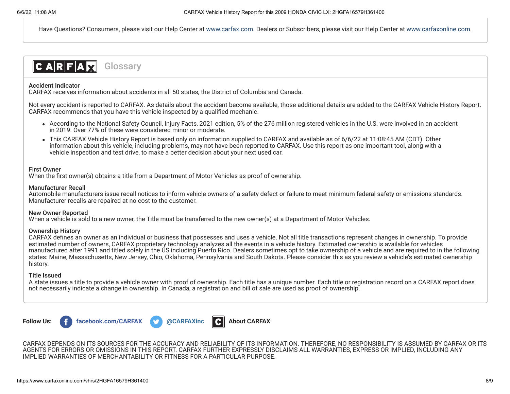Have Questions? Consumers, please visit our Help Center at [www.carfax.com](http://www.carfax.com/help). Dealers or Subscribers, please visit our Help Center at [www.carfaxonline.com.](http://www.carfaxonline.com/)



#### Accident Indicator

CARFAX receives information about accidents in all 50 states, the District of Columbia and Canada.

Not every accident is reported to CARFAX. As details about the accident become available, those additional details are added to the CARFAX Vehicle History Report. CARFAX recommends that you have this vehicle inspected by a qualified mechanic.

- According to the National Safety Council, Injury Facts, 2021 edition, 5% of the 276 million registered vehicles in the U.S. were involved in an accident in 2019. Over 77% of these were considered minor or moderate.
- This CARFAX Vehicle History Report is based only on information supplied to CARFAX and available as of 6/6/22 at 11:08:45 AM (CDT). Other information about this vehicle, including problems, may not have been reported to CARFAX. Use this report as one important tool, along with a vehicle inspection and test drive, to make a better decision about your next used car.

## First Owner

When the first owner(s) obtains a title from a Department of Motor Vehicles as proof of ownership.

### Manufacturer Recall

Automobile manufacturers issue recall notices to inform vehicle owners of a safety defect or failure to meet minimum federal safety or emissions standards. Manufacturer recalls are repaired at no cost to the customer.

### New Owner Reported

When a vehicle is sold to a new owner, the Title must be transferred to the new owner(s) at a Department of Motor Vehicles.

### Ownership History

CARFAX defines an owner as an individual or business that possesses and uses a vehicle. Not all title transactions represent changes in ownership. To provide estimated number of owners, CARFAX proprietary technology analyzes all the events in a vehicle history. Estimated ownership is available for vehicles manufactured after 1991 and titled solely in the US including Puerto Rico. Dealers sometimes opt to take ownership of a vehicle and are required to in the following states: Maine, Massachusetts, New Jersey, Ohio, Oklahoma, Pennsylvania and South Dakota. Please consider this as you review a vehicle's estimated ownership history.

### Title Issued

A state issues a title to provide a vehicle owner with proof of ownership. Each title has a unique number. Each title or registration record on a CARFAX report does not necessarily indicate a change in ownership. In Canada, a registration and bill of sale are used as proof of ownership.



**Follow Us: f** [facebook.com/CARFAX](https://www.facebook.com/CARFAXinc) **and the CARFAXinc R** [About CARFAX](http://www.carfax.com/company/about)

CARFAX DEPENDS ON ITS SOURCES FOR THE ACCURACY AND RELIABILITY OF ITS INFORMATION. THEREFORE, NO RESPONSIBILITY IS ASSUMED BY CARFAX OR ITS AGENTS FOR ERRORS OR OMISSIONS IN THIS REPORT. CARFAX FURTHER EXPRESSLY DISCLAIMS ALL WARRANTIES, EXPRESS OR IMPLIED, INCLUDING ANY IMPLIED WARRANTIES OF MERCHANTABILITY OR FITNESS FOR A PARTICULAR PURPOSE.